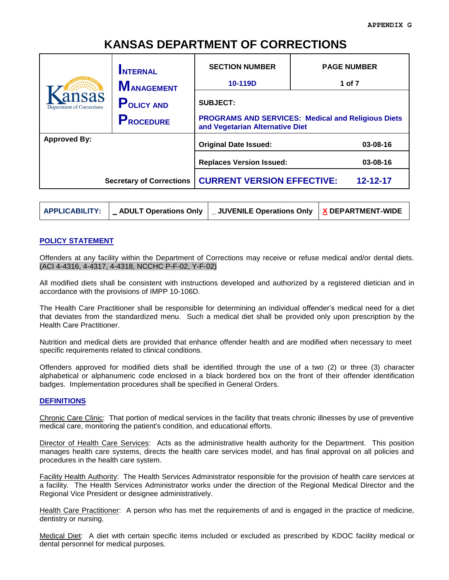# **KANSAS DEPARTMENT OF CORRECTIONS**

|                                           | <b>INTERNAL</b>                       | <b>SECTION NUMBER</b>                                                                                           | <b>PAGE NUMBER</b> |
|-------------------------------------------|---------------------------------------|-----------------------------------------------------------------------------------------------------------------|--------------------|
|                                           | <b>MANAGEMENT</b>                     | 10-119D                                                                                                         | 1 of 7             |
| ansas<br><b>Department of Corrections</b> | <b>POLICY AND</b><br><b>PROCEDURE</b> | <b>SUBJECT:</b><br><b>PROGRAMS AND SERVICES: Medical and Religious Diets</b><br>and Vegetarian Alternative Diet |                    |
| <b>Approved By:</b>                       |                                       | <b>Original Date Issued:</b>                                                                                    | 03-08-16           |
|                                           |                                       | <b>Replaces Version Issued:</b>                                                                                 | 03-08-16           |
| <b>Secretary of Corrections</b>           |                                       | <b>CURRENT VERSION EFFECTIVE:</b><br>12-12-17                                                                   |                    |

|  | │ APPLICABILITY: │ _ ADULT Operations Only │ _ JUVENILE Operations Only │ <u>X</u> DEPARTMENT-WIDE |  |
|--|----------------------------------------------------------------------------------------------------|--|
|  |                                                                                                    |  |

## **POLICY STATEMENT**

Offenders at any facility within the Department of Corrections may receive or refuse medical and/or dental diets. (ACI 4-4316, 4-4317, 4-4318, NCCHC P-F-02, Y-F-02)

All modified diets shall be consistent with instructions developed and authorized by a registered dietician and in accordance with the provisions of IMPP 10-106D.

The Health Care Practitioner shall be responsible for determining an individual offender's medical need for a diet that deviates from the standardized menu. Such a medical diet shall be provided only upon prescription by the Health Care Practitioner.

Nutrition and medical diets are provided that enhance offender health and are modified when necessary to meet specific requirements related to clinical conditions.

Offenders approved for modified diets shall be identified through the use of a two (2) or three (3) character alphabetical or alphanumeric code enclosed in a black bordered box on the front of their offender identification badges. Implementation procedures shall be specified in General Orders.

## **DEFINITIONS**

Chronic Care Clinic: That portion of medical services in the facility that treats chronic illnesses by use of preventive medical care, monitoring the patient's condition, and educational efforts.

Director of Health Care Services: Acts as the administrative health authority for the Department. This position manages health care systems, directs the health care services model, and has final approval on all policies and procedures in the health care system.

Facility Health Authority: The Health Services Administrator responsible for the provision of health care services at a facility. The Health Services Administrator works under the direction of the Regional Medical Director and the Regional Vice President or designee administratively.

Health Care Practitioner: A person who has met the requirements of and is engaged in the practice of medicine, dentistry or nursing.

Medical Diet: A diet with certain specific items included or excluded as prescribed by KDOC facility medical or dental personnel for medical purposes.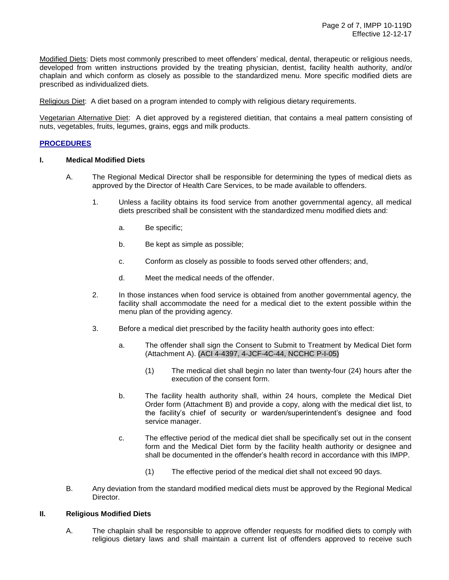Modified Diets: Diets most commonly prescribed to meet offenders' medical, dental, therapeutic or religious needs, developed from written instructions provided by the treating physician, dentist, facility health authority, and/or chaplain and which conform as closely as possible to the standardized menu. More specific modified diets are prescribed as individualized diets.

Religious Diet: A diet based on a program intended to comply with religious dietary requirements.

Vegetarian Alternative Diet: A diet approved by a registered dietitian, that contains a meal pattern consisting of nuts, vegetables, fruits, legumes, grains, eggs and milk products.

## **PROCEDURES**

#### **I. Medical Modified Diets**

- A. The Regional Medical Director shall be responsible for determining the types of medical diets as approved by the Director of Health Care Services, to be made available to offenders.
	- 1. Unless a facility obtains its food service from another governmental agency, all medical diets prescribed shall be consistent with the standardized menu modified diets and:
		- a. Be specific;
		- b. Be kept as simple as possible;
		- c. Conform as closely as possible to foods served other offenders; and,
		- d. Meet the medical needs of the offender.
	- 2. In those instances when food service is obtained from another governmental agency, the facility shall accommodate the need for a medical diet to the extent possible within the menu plan of the providing agency.
	- 3. Before a medical diet prescribed by the facility health authority goes into effect:
		- a. The offender shall sign the Consent to Submit to Treatment by Medical Diet form (Attachment A). (ACI 4-4397, 4-JCF-4C-44, NCCHC P-I-05)
			- (1) The medical diet shall begin no later than twenty-four (24) hours after the execution of the consent form.
		- b. The facility health authority shall, within 24 hours, complete the Medical Diet Order form (Attachment B) and provide a copy, along with the medical diet list, to the facility's chief of security or warden/superintendent's designee and food service manager.
		- c. The effective period of the medical diet shall be specifically set out in the consent form and the Medical Diet form by the facility health authority or designee and shall be documented in the offender's health record in accordance with this IMPP.
			- (1) The effective period of the medical diet shall not exceed 90 days.
- B. Any deviation from the standard modified medical diets must be approved by the Regional Medical Director.

## **II. Religious Modified Diets**

A. The chaplain shall be responsible to approve offender requests for modified diets to comply with religious dietary laws and shall maintain a current list of offenders approved to receive such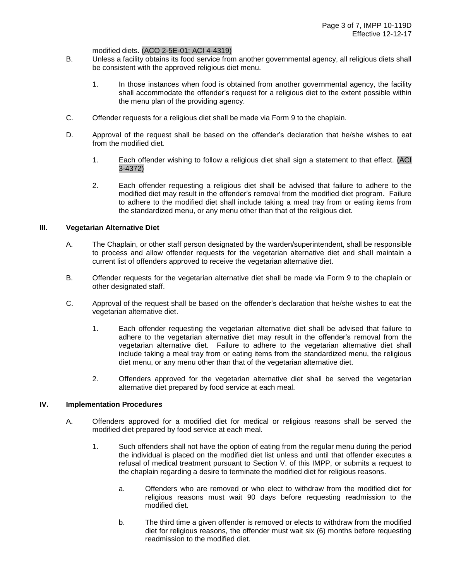#### modified diets. (ACO 2-5E-01; ACI 4-4319)

- B. Unless a facility obtains its food service from another governmental agency, all religious diets shall be consistent with the approved religious diet menu.
	- 1. In those instances when food is obtained from another governmental agency, the facility shall accommodate the offender's request for a religious diet to the extent possible within the menu plan of the providing agency.
- C. Offender requests for a religious diet shall be made via Form 9 to the chaplain.
- D. Approval of the request shall be based on the offender's declaration that he/she wishes to eat from the modified diet.
	- 1. Each offender wishing to follow a religious diet shall sign a statement to that effect. (ACI 3-4372)
	- 2. Each offender requesting a religious diet shall be advised that failure to adhere to the modified diet may result in the offender's removal from the modified diet program. Failure to adhere to the modified diet shall include taking a meal tray from or eating items from the standardized menu, or any menu other than that of the religious diet.

## **III. Vegetarian Alternative Diet**

- A. The Chaplain, or other staff person designated by the warden/superintendent, shall be responsible to process and allow offender requests for the vegetarian alternative diet and shall maintain a current list of offenders approved to receive the vegetarian alternative diet.
- B. Offender requests for the vegetarian alternative diet shall be made via Form 9 to the chaplain or other designated staff.
- C. Approval of the request shall be based on the offender's declaration that he/she wishes to eat the vegetarian alternative diet.
	- 1. Each offender requesting the vegetarian alternative diet shall be advised that failure to adhere to the vegetarian alternative diet may result in the offender's removal from the vegetarian alternative diet. Failure to adhere to the vegetarian alternative diet shall include taking a meal tray from or eating items from the standardized menu, the religious diet menu, or any menu other than that of the vegetarian alternative diet.
	- 2. Offenders approved for the vegetarian alternative diet shall be served the vegetarian alternative diet prepared by food service at each meal.

## **IV. Implementation Procedures**

- A. Offenders approved for a modified diet for medical or religious reasons shall be served the modified diet prepared by food service at each meal.
	- 1. Such offenders shall not have the option of eating from the regular menu during the period the individual is placed on the modified diet list unless and until that offender executes a refusal of medical treatment pursuant to Section V. of this IMPP, or submits a request to the chaplain regarding a desire to terminate the modified diet for religious reasons.
		- a. Offenders who are removed or who elect to withdraw from the modified diet for religious reasons must wait 90 days before requesting readmission to the modified diet.
		- b. The third time a given offender is removed or elects to withdraw from the modified diet for religious reasons, the offender must wait six (6) months before requesting readmission to the modified diet.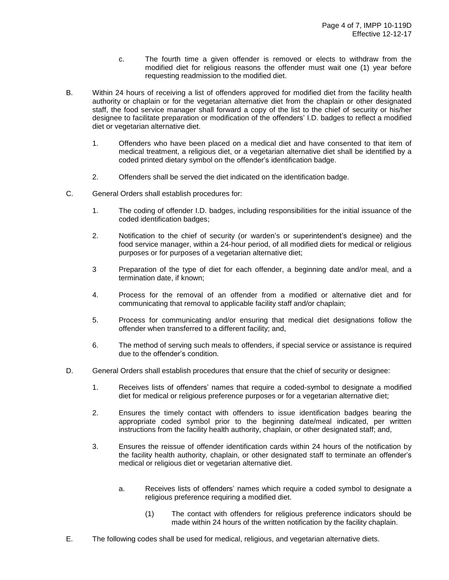- c. The fourth time a given offender is removed or elects to withdraw from the modified diet for religious reasons the offender must wait one (1) year before requesting readmission to the modified diet.
- B. Within 24 hours of receiving a list of offenders approved for modified diet from the facility health authority or chaplain or for the vegetarian alternative diet from the chaplain or other designated staff, the food service manager shall forward a copy of the list to the chief of security or his/her designee to facilitate preparation or modification of the offenders' I.D. badges to reflect a modified diet or vegetarian alternative diet.
	- 1. Offenders who have been placed on a medical diet and have consented to that item of medical treatment, a religious diet, or a vegetarian alternative diet shall be identified by a coded printed dietary symbol on the offender's identification badge.
	- 2. Offenders shall be served the diet indicated on the identification badge.
- C. General Orders shall establish procedures for:
	- 1. The coding of offender I.D. badges, including responsibilities for the initial issuance of the coded identification badges;
	- 2. Notification to the chief of security (or warden's or superintendent's designee) and the food service manager, within a 24-hour period, of all modified diets for medical or religious purposes or for purposes of a vegetarian alternative diet;
	- 3 Preparation of the type of diet for each offender, a beginning date and/or meal, and a termination date, if known;
	- 4. Process for the removal of an offender from a modified or alternative diet and for communicating that removal to applicable facility staff and/or chaplain;
	- 5. Process for communicating and/or ensuring that medical diet designations follow the offender when transferred to a different facility; and,
	- 6. The method of serving such meals to offenders, if special service or assistance is required due to the offender's condition.
- D. General Orders shall establish procedures that ensure that the chief of security or designee:
	- 1. Receives lists of offenders' names that require a coded-symbol to designate a modified diet for medical or religious preference purposes or for a vegetarian alternative diet;
	- 2. Ensures the timely contact with offenders to issue identification badges bearing the appropriate coded symbol prior to the beginning date/meal indicated, per written instructions from the facility health authority, chaplain, or other designated staff; and,
	- 3. Ensures the reissue of offender identification cards within 24 hours of the notification by the facility health authority, chaplain, or other designated staff to terminate an offender's medical or religious diet or vegetarian alternative diet.
		- a. Receives lists of offenders' names which require a coded symbol to designate a religious preference requiring a modified diet.
			- (1) The contact with offenders for religious preference indicators should be made within 24 hours of the written notification by the facility chaplain.
- E. The following codes shall be used for medical, religious, and vegetarian alternative diets.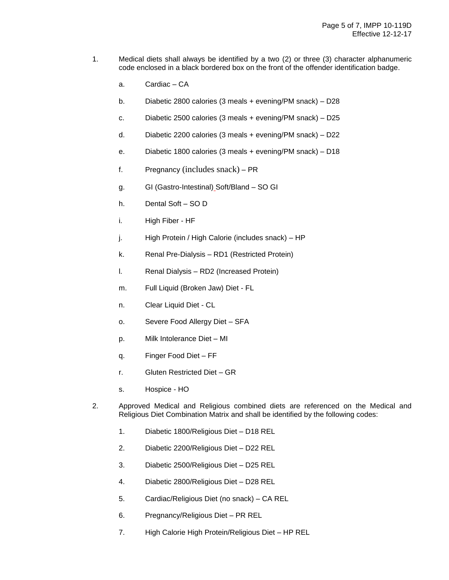- 1. Medical diets shall always be identified by a two (2) or three (3) character alphanumeric code enclosed in a black bordered box on the front of the offender identification badge.
	- a. Cardiac CA
	- b. Diabetic 2800 calories (3 meals + evening/PM snack) D28
	- c. Diabetic 2500 calories (3 meals + evening/PM snack) D25
	- d. Diabetic 2200 calories (3 meals + evening/PM snack) D22
	- e. Diabetic 1800 calories (3 meals + evening/PM snack) D18
	- f. Pregnancy (includes snack) PR
	- g. GI (Gastro-Intestinal) Soft/Bland SO GI
	- h. Dental Soft SO D
	- i. High Fiber HF
	- j. High Protein / High Calorie (includes snack) HP
	- k. Renal Pre-Dialysis RD1 (Restricted Protein)
	- l. Renal Dialysis RD2 (Increased Protein)
	- m. Full Liquid (Broken Jaw) Diet FL
	- n. Clear Liquid Diet CL
	- o. Severe Food Allergy Diet SFA
	- p. Milk Intolerance Diet MI
	- q. Finger Food Diet FF
	- r. Gluten Restricted Diet GR
	- s. Hospice HO
- 2. Approved Medical and Religious combined diets are referenced on the Medical and Religious Diet Combination Matrix and shall be identified by the following codes:
	- 1. Diabetic 1800/Religious Diet D18 REL
	- 2. Diabetic 2200/Religious Diet D22 REL
	- 3. Diabetic 2500/Religious Diet D25 REL
	- 4. Diabetic 2800/Religious Diet D28 REL
	- 5. Cardiac/Religious Diet (no snack) CA REL
	- 6. Pregnancy/Religious Diet PR REL
	- 7. High Calorie High Protein/Religious Diet HP REL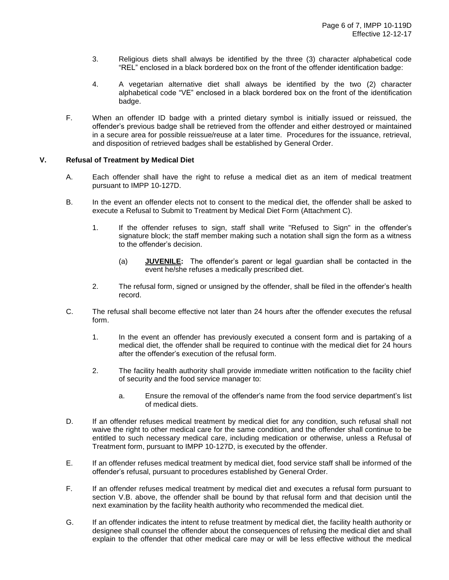- 3. Religious diets shall always be identified by the three (3) character alphabetical code "REL" enclosed in a black bordered box on the front of the offender identification badge:
- 4. A vegetarian alternative diet shall always be identified by the two (2) character alphabetical code "VE" enclosed in a black bordered box on the front of the identification badge.
- F. When an offender ID badge with a printed dietary symbol is initially issued or reissued, the offender's previous badge shall be retrieved from the offender and either destroyed or maintained in a secure area for possible reissue/reuse at a later time. Procedures for the issuance, retrieval, and disposition of retrieved badges shall be established by General Order.

#### **V. Refusal of Treatment by Medical Diet**

- A. Each offender shall have the right to refuse a medical diet as an item of medical treatment pursuant to IMPP 10-127D.
- B. In the event an offender elects not to consent to the medical diet, the offender shall be asked to execute a Refusal to Submit to Treatment by Medical Diet Form (Attachment C).
	- 1. If the offender refuses to sign, staff shall write "Refused to Sign" in the offender's signature block; the staff member making such a notation shall sign the form as a witness to the offender's decision.
		- (a) **JUVENILE:** The offender's parent or legal guardian shall be contacted in the event he/she refuses a medically prescribed diet.
	- 2. The refusal form, signed or unsigned by the offender, shall be filed in the offender's health record.
- C. The refusal shall become effective not later than 24 hours after the offender executes the refusal form.
	- 1. In the event an offender has previously executed a consent form and is partaking of a medical diet, the offender shall be required to continue with the medical diet for 24 hours after the offender's execution of the refusal form.
	- 2. The facility health authority shall provide immediate written notification to the facility chief of security and the food service manager to:
		- a. Ensure the removal of the offender's name from the food service department's list of medical diets.
- D. If an offender refuses medical treatment by medical diet for any condition, such refusal shall not waive the right to other medical care for the same condition, and the offender shall continue to be entitled to such necessary medical care, including medication or otherwise, unless a Refusal of Treatment form, pursuant to IMPP 10-127D, is executed by the offender.
- E. If an offender refuses medical treatment by medical diet, food service staff shall be informed of the offender's refusal, pursuant to procedures established by General Order.
- F. If an offender refuses medical treatment by medical diet and executes a refusal form pursuant to section V.B. above, the offender shall be bound by that refusal form and that decision until the next examination by the facility health authority who recommended the medical diet.
- G. If an offender indicates the intent to refuse treatment by medical diet, the facility health authority or designee shall counsel the offender about the consequences of refusing the medical diet and shall explain to the offender that other medical care may or will be less effective without the medical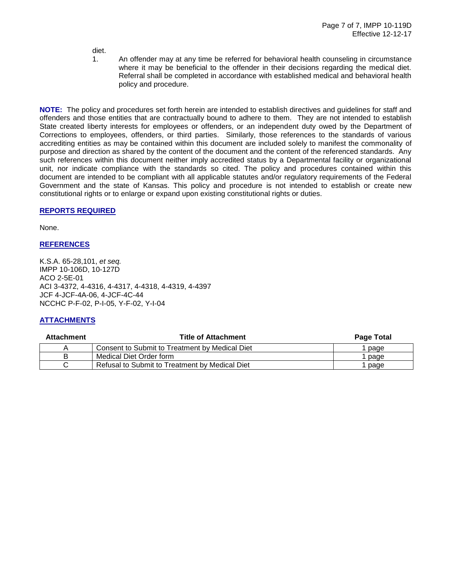diet.

1. An offender may at any time be referred for behavioral health counseling in circumstance where it may be beneficial to the offender in their decisions regarding the medical diet. Referral shall be completed in accordance with established medical and behavioral health policy and procedure.

**NOTE:** The policy and procedures set forth herein are intended to establish directives and guidelines for staff and offenders and those entities that are contractually bound to adhere to them. They are not intended to establish State created liberty interests for employees or offenders, or an independent duty owed by the Department of Corrections to employees, offenders, or third parties. Similarly, those references to the standards of various accrediting entities as may be contained within this document are included solely to manifest the commonality of purpose and direction as shared by the content of the document and the content of the referenced standards. Any such references within this document neither imply accredited status by a Departmental facility or organizational unit, nor indicate compliance with the standards so cited. The policy and procedures contained within this document are intended to be compliant with all applicable statutes and/or regulatory requirements of the Federal Government and the state of Kansas. This policy and procedure is not intended to establish or create new constitutional rights or to enlarge or expand upon existing constitutional rights or duties.

## **REPORTS REQUIRED**

None.

## **REFERENCES**

K.S.A. 65-28,101, *et seq.* IMPP 10-106D, 10-127D ACO 2-5E-01 ACI 3-4372, 4-4316, 4-4317, 4-4318, 4-4319, 4-4397 JCF 4-JCF-4A-06, 4-JCF-4C-44 NCCHC P-F-02, P-I-05, Y-F-02, Y-I-04

## **ATTACHMENTS**

| <b>Attachment</b> | <b>Title of Attachment</b>                     | <b>Page Total</b> |
|-------------------|------------------------------------------------|-------------------|
|                   | Consent to Submit to Treatment by Medical Diet | page              |
|                   | Medical Diet Order form                        | page              |
|                   | Refusal to Submit to Treatment by Medical Diet | page              |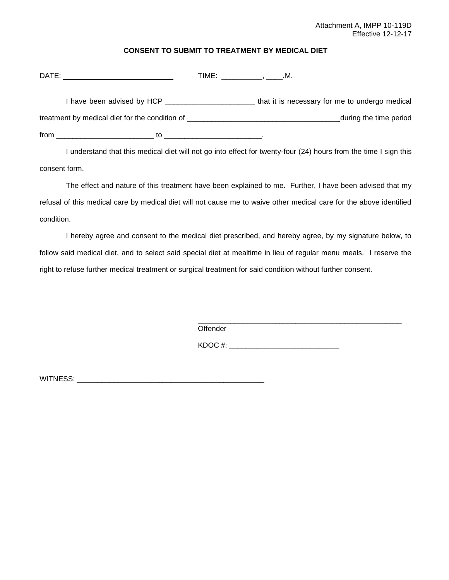## **CONSENT TO SUBMIT TO TREATMENT BY MEDICAL DIET**

| DATE:                                                                            | TIME: M.                                       |
|----------------------------------------------------------------------------------|------------------------------------------------|
| I have been advised by HCP _____________________                                 | that it is necessary for me to undergo medical |
| treatment by medical diet for the condition of _________________________________ | during the time period                         |
| from<br>to                                                                       |                                                |

I understand that this medical diet will not go into effect for twenty-four (24) hours from the time I sign this consent form.

The effect and nature of this treatment have been explained to me. Further, I have been advised that my refusal of this medical care by medical diet will not cause me to waive other medical care for the above identified condition.

I hereby agree and consent to the medical diet prescribed, and hereby agree, by my signature below, to follow said medical diet, and to select said special diet at mealtime in lieu of regular menu meals. I reserve the right to refuse further medical treatment or surgical treatment for said condition without further consent.

> \_\_\_\_\_\_\_\_\_\_\_\_\_\_\_\_\_\_\_\_\_\_\_\_\_\_\_\_\_\_\_\_\_\_\_\_\_\_\_\_\_\_\_\_\_\_\_\_\_\_ **Offender**

KDOC #: \_\_\_\_\_\_\_\_\_\_\_\_\_\_\_\_\_\_\_\_\_\_\_\_\_\_\_

WITNESS: \_\_\_\_\_\_\_\_\_\_\_\_\_\_\_\_\_\_\_\_\_\_\_\_\_\_\_\_\_\_\_\_\_\_\_\_\_\_\_\_\_\_\_\_\_\_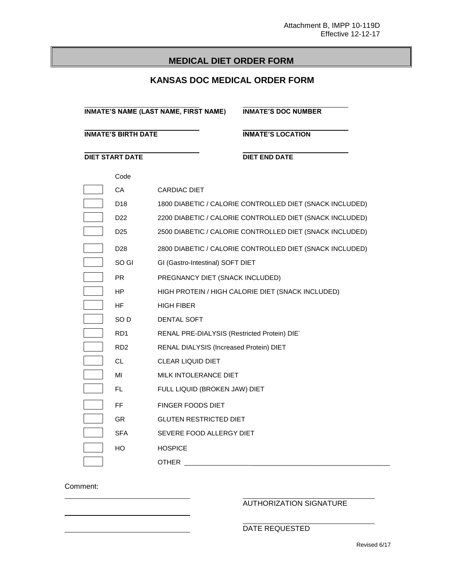# **MEDICAL DIET ORDER FORM**

# **KANSAS DOC MEDICAL ORDER FORM**

 **INMATE'S NAME (LAST NAME, FIRST NAME) INMATE'S DOC NUMBER INMATE'S BIRTH DATE INMATE'S LOCATION DIET START DATE DIET END DATE** Code CA CARDIAC DIET D18 1800 DIABETIC / CALORIE CONTROLLED DIET (SNACK INCLUDED) D22 2200 DIABETIC / CALORIE CONTROLLED DIET (SNACK INCLUDED) D25 2500 DIABETIC / CALORIE CONTROLLED DIET (SNACK INCLUDED) D28 2800 DIABETIC / CALORIE CONTROLLED DIET (SNACK INCLUDED) SO GI GI (Gastro-Intestinal) SOFT DIET PR PREGNANCY DIET (SNACK INCLUDED) HP HIGH PROTEIN / HIGH CALORIE DIET (SNACK INCLUDED) HF HIGH FIBER SO D DENTAL SOFT RD1 RENAL PRE-DIALYSIS (Restricted Protein) DIET RD2 RENAL DIALYSIS (Increased Protein) DIET CL CLEAR LIQUID DIET MI MILK INTOLERANCE DIET FL FULL LIQUID (BROKEN JAW) DIET FF FINGER FOODS DIET GR GLUTEN RESTRICTED DIET SFA SEVERE FOOD ALLERGY DIET HO HOSPICE OTHER **with the set of the set of the set of the set of the set of the set of the set of the set of the set of the set of the set of the set of the set of the set of the set of the set of the set of the set of the set of t** 

Comment:

AUTHORIZATION SIGNATURE

DATE REQUESTED